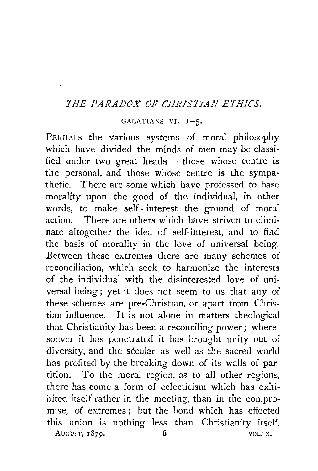## *THE PARADOX OF CHRJSTJAN ETHICS.*

## GALATIANS VI. I-5.

PERHAPS the various systems of moral philosophy which have divided the minds of men may be classified under two great heads  $-$  those whose centre is the personal, and those whose centre is the sympathetic. There are some which have professed to base morality upon the good of the individual, in other words, to make self- interest the ground of moral action. There are others which have striven to eliminate altogether the idea of self-interest, and to find the basis of morality in the love of universal being. Between these extremes there are many schemes of reconciliation, which seek to harmonize the interests of the individual with the disinterested love of universal being; yet it does not seem to us that any of these schemes are pre-Christian, or apart from Christian influence. It is not alone in matters theological that Christianity has been a reconciling power; wheresoever it has penetrated it has brought unity out of diversity, and the secular as well as the sacred world has profited by the breaking down of its walls of partition. To the moral region, as to all other regions, there has come a form of eclecticism which has exhibited itself rather in the meeting, than in the compromise, of extremes; but the bond which has effected this union is nothing less than Christianity itself AUGUST,  $1879.$  6 VOL. X.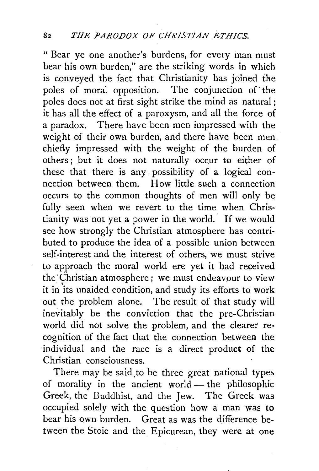"Bear ye one another's burdens, for every man must bear his own burden," are the striking words in which is conveyed the fact that Christianity has joined the poles of moral opposition. The conjunction of' the poles does not at first sight strike the mind as natural ; it has all the effect of a paroxysm, and all the force of a paradox. There have been men impressed with the weight of their own burden, and there have been men chiefly impressed with the weight of the burden of others; but it does not naturally occur to either of these that there is any possibility of a logical connection between them. How little such a connection occurs to the common thoughts of men will only be fully seen when we revert to the time when Christianity was not yet a power in the world.' If we would see how strongly the Christian atmosphere has contributed to produce the idea of a possible union between self-interest and the interest of others, we must strive to approach the moral world ere yet it had received the· Christian atmosphere; we must endeavour to view it in "its unaided condition, and study its efforts to work out the problem alone. The result of that study will inevitably be the conviction that the pre-Christian world did not solve the problem, and the clearer recognition of the fact that the connection between the individual and the race is a direct product of the Christian consciousness.

There may be said.to be three great national types of morality in the ancient world - the philosophic Greek, the Buddhist, and the Jew. The Greek was occupied solely with the question how a man was to bear his own burden. Great as was the difference between the Stoic and the Epicurean, they were at one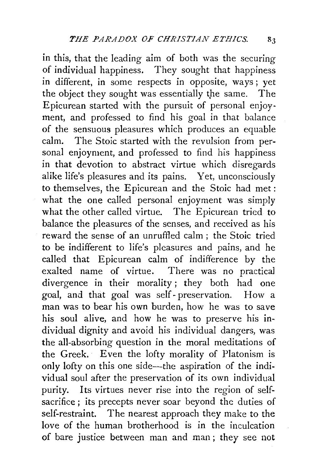in this, that the leading aim of both was the securing of individual happiness. They sought that happiness in different, in some respects in opposite, ways; yet the object they sought was essentially the same. The Epicurean started with the pursuit of personal enjoyment, and professed to find his goal in that balance of the sensuous pleasures which produces an equable calm. The Stoic started with the revulsion from personal enjoyment, and professed to find his happiness in that devotion to abstract virtue which disregards alike life's pleasures and its pains. Yet, unconsciously to themselves, the Epicurean and the Stoic had met: what the one called personal enjoyment was simply what the other called virtue. The Epicurean tried to balance the pleasures of the senses, and received as *his*  reward the sense of an unruffled calm ; the Stoic tried to be indifferent to life's pleasures and pains, and he called that Epicurean calm of indifference by the exalted name of virtue. There was no practical divergence in their morality; they both had one goal, and that goal was self- preservation. How a man was to bear his own burden, how he was to save his soul alive, and how he was to preserve his individual dignity and avoid his individual dangers, was the all-absorbing question in the moral meditations of the Greek. Even the lofty morality of Platonism is only lofty on this one side-the aspiration of the individual soul after the preservation of its own individual purity. Its virtues never rise into the region of selfsacrifice; its precepts never soar beyond the duties of self-restraint. The nearest approach they make to the love of the human brotherhood is in the inculcation of bare justice between man and man ; they see not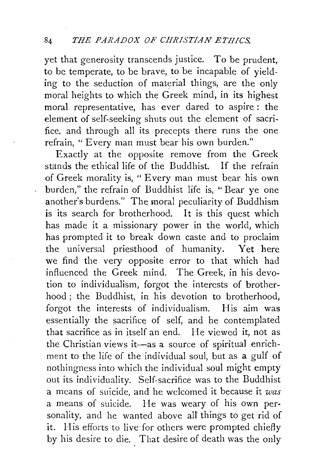yet that generosity transcends justice. To be prudent, to be temperate, to be brave, to be incapable of yielding to the seduction of material things, are the only moral heights to which the Greek mind, in its highest moral representative, has ever dared to aspire : the element of self-seeking shuts out the element of sacrifice, and through all its precepts there runs the one refrain, "Every man must bear his own burden."

Exactly at the opposite remove from the Greek stands the ethical life of the Buddhist. If the refrain of Greek morality is, "Every man must bear his own burden," the refrain of Buddhist life is, " Bear ye one another's burdens." The moral peculiarity of Buddhism is its search for brotherhood. It is this quest which has made it a missionary power in the world, which has prompted it to break down caste and to proclaim the universal priesthood of humanity. Yet here we find the very opposite error to that which had influenced the Greek mind. The Greek, in his devotion to individualism, forgot the interests of brotherhood ; the Buddhist, in his devotion to brotherhood, forgot the interests of individualism. His aim was essentially the sacrifice of self, and he contemplated that sacrifice as in itself an end. He viewed it, not as the Christian views it-as a source of spiritual enrichment to the life of the individual soul, but as a gulf of nothingness into which the individual soul might empty out its individuality. Self-sacrifice was to the Buddhist a means of suicide, and he welcomed it because it *was*  a means of suicide. He was weary of his own personality, and he wanted above all things to get rid of it. His efforts to live-for others were prompted chiefly by his desire to die. That desire of death was the only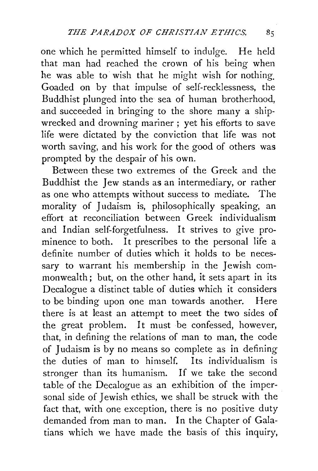one which he permitted himself to indulge. He held that man had reached the crown of his being when he was able to wish that he might wish for nothing, Goaded on by that impulse of self-recklessness, the Buddhist plunged into the sea of human brotherhood, and succeeded in bringing to the shore many a shipwrecked and drowning mariner; yet his efforts to save life were dictated by the conviction that life was not worth saving, and his work for the good of others was prompted by the despair of his own.

Between these two extremes of the Greek and the Buddhist the Jew stands as an intermediary, or rather as one who attempts without success to mediate. The morality of Judaism is, philosophically speaking, an effort at reconciliation between Greek individualism and Indian self-forgetfulness. It strives to give pro· minence to both. It prescribes to the personal life a definite number of duties which it holds to be necessary to warrant his membership in the Jewish commonwealth; but, on the other hand, it sets apart in its Decalogue a distinct table of duties which it considers to be binding upon one man towards another. Here there is at least an attempt to meet the two sides of the great problem. It must be confessed, however, that, in defining the relations of man to man, the code of Judaism is by no means so complete as in defining the duties of man to himself. Its individualism is stronger than its humanism. If we take the second table of the Decalogue as an exhibition of the impersonal side of Jewish ethics, we shall be struck with the fact that, with one exception, there is no positive duty demanded from man to man. In the Chapter of Galatians which we have made the basis of this inquiry,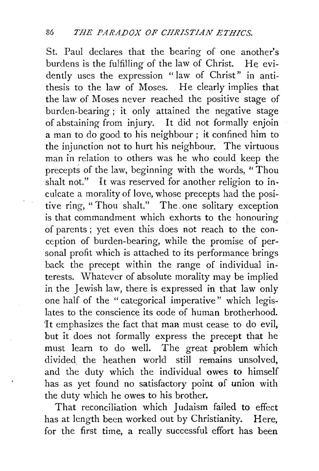St. Paul declares that the bearing of one another's burdens is the fulfilling of the law of Christ. He evidently uses the expression "law of Christ" in antithesis to the law of Moses. He clearly implies that the law of Moses never reached the positive stage of burden-bearing ; it only attained the negative stage of abstaining from injury. It did not formally enjoin a man to do good to his neighbour ; it confined him to the injunction not to hurt his neighbour. The virtuous man in relation to others was he who could keep the precepts of the law, beginning with the words, "Thou shalt not." It was reserved for another religion to inculcate a morality of love, whose precepts had the positive ring, "Thou shalt." The, one solitary exception is that commandment which exhorts to the honouring of parents ; yet even this does not reach to the conception of burden-bearing, while the promise of personal profit which is attached to its performance brings back the precept within the range of individual interests. Whatever of absolute morality may be implied in the Jewish law, there is expressed in that law only one half of the "categorical imperative" which legislates to the conscience its code of human brotherhood. It emphasizes the fact that man must cease to do evil, but it does not formally express the precept that he must learn to do well. The great problem which divided the heathen world still remains unsolved, and the duty which the individual owes to himself has as yet found no satisfactory point of union with the duty which he owes to his brother.

That reconciliation which Judaism failed to effect has at length been worked out by Christianity. Here, for the first time, a really successful effort has been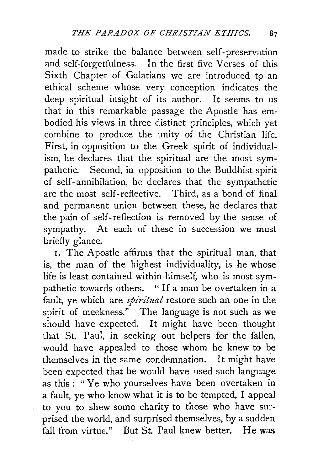made to strike the balance between self-preservation and self-forgetfulness. In the first five Verses of this Sixth Chapter of Galatians we are introduced to an ethical scheme whose very conception indicates the deep spiritual insight of its author. It seems to us that in this remarkable passage the Apostle has embodied his views in three distinct principles, which yet combine to produce the unity of the Christian life. First, in opposition to the Greek spirit of individualism, he declares that the spiritual are the most sympathetic. Second, in opposition to the Buddhist spirit of self-annihilation, he declares that the sympathetic are the most self-reflective. Third, as a bond of final and permanent union between these, he declares that the pain of self-reflection is removed by the sense of sympathy. At each of these in succession we must briefly glance.

I. The Apostle affirms that the spiritual man, that is, the man of the highest individuality, is he whose life is least contained within himself, who is most sympathetic towards others. " If a man be overtaken in a fault, ye which are *spiritual* restore such an one in the spirit of meekness." The language is not such as we should have expected. It might have been thought that St. Paul, in seeking out helpers for the fallen, would have appealed to those whom he knew to be themselves in the same condemnation. It might have been expected that he would have used such language as this : "Ye who yourselves have been overtaken in a fault, ye who know what it is to be tempted, I appeal to you to shew some charity to those who have surprised the world, and surprised themselves, by a sudden fall from virtue." But St. Paul knew better. He was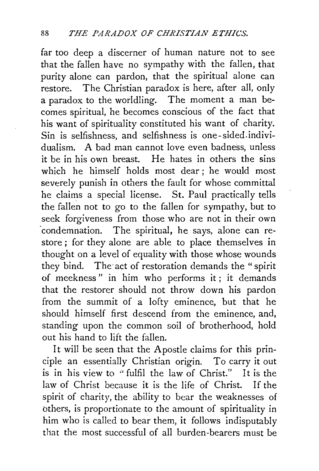far too deep a discerner of human nature not *to* see that the fallen have no sympathy with the fallen, that purity alone can pardon, that the spiritual alone can restore. The Christian paradox is here, after all, only a paradox to the worldling. The moment a man becomes spiritual, he becomes conscious of the fact that his want of spirituality constituted his want of charity. Sin is selfishness, and selfishness is one-sided.individualism. A bad man cannot love even badness, unless it be in his own breast. He hates in others the sins which he himself holds most dear ; he would most severely punish in others the fault for whose committal he claims a special license. St. Paul practically tells the fallen not to go to the fallen for sympathy, but to seek forgiveness from those who are not in their own 'condemnation. The spiritual, he says, alone can restore; for they alone are able to place themselves in thought on a level of equality with those whose wounds they bind. The act of restoration demands the "spirit of meekness" in him who performs it; it demands that the restorer should not throw down his pardon from the summit of a lofty eminence, but that he should himself first descend from the eminence, and, standing upon the common soil of brotherhood, hold out his hand to lift the fallen.

It will be seen that the Apostle claims for this principle an essentially Christian origin. To carry it out is in his view to "fulfil the law of Christ." It is the law of Christ because it is the life of Christ. If the spirit of charity, the ability to bear the weaknesses of others, is proportionate to the amount of spirituality in him who is called to bear them, it follows indisputably that the most successful of all burden-bearers must be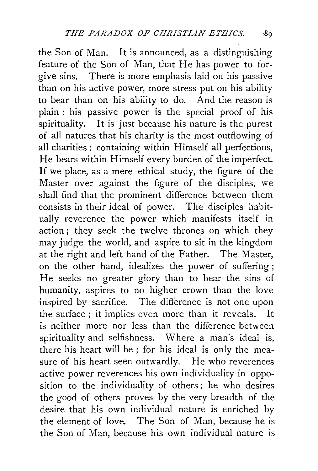the Son of Man. It is announced, as a distinguishing feature of the Son of Man, that He has power to forgive sins. There is more emphasis laid on his passive than on his active power, more stress put on his ability to bear than on his ability to do. And the reason is plain : his passive power is the special proof of his spirituality. It is just because his nature is the purest of all natures that his charity is the most outflowing of all charities: containing within Himself all perfections, He bears within Himself every burden of the imperfect. If we place, as a mere ethical study, the figure of the Master over against' the figure of the disciples, we shall find that the prominent difference between them consists in their ideal of power. The disciples habitually reverence the power which manifests itself in action; they seek the twelve thrones on which they may judge the world, and aspire to sit in the kingdom at the right and left hand of the Father. The Master, on the other hand, idealizes the power of suffering ; He seeks no greater glory than to bear the sins of humanity, aspires to no higher crown than the love inspired by sacrifice. The difference is not one upon the surface; it implies even more than it reveals. It is neither more nor less than the difference between spirituality and selfishness. Where a man's ideal is, there his heart will be ; for his ideal is only the measure of his heart seen outwardly. He who reverences active power reverences his own individuality in opposition to the individuality of others; he who desires the good of others proves by the very breadth of the desire that his own individual nature is enriched by the element of love. The Son of Man, because he is the Son of Man, because his own individual nature is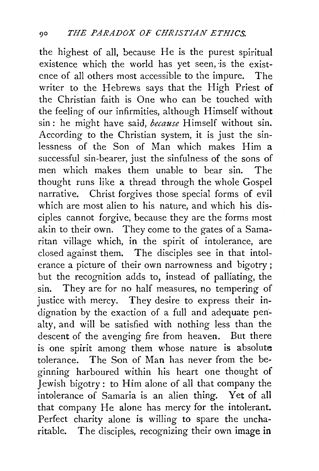the highest of all, because He is the purest spiritual existence which the world has yet seen, is the existence of all others most accessible to the impure. The writer to the Hebrews says that the High Priest of the Christian faith is One who can be touched with the feeling of our infirmities, although Himself without sin: he might have said, *because* Himself without sin. According to the Christian system, it is just the sinlessness of the Son of Man which makes Him a successful sin-bearer, just the sinfulness of the sons of men which makes them unable to bear sin. The thought runs like a thread through the whole Gospel narrative. Christ forgives those special forms of evil which are most alien to his nature, and which his disciples cannot forgive, because they are the forms most akin to their own. They come to the gates of a Samaritan village which, in the spirit of intolerance, are closed against them. The disciples see in that intolerance a picture of their own narrowness and bigotry ; but the recognition adds to, instead of palliating, the sin. They are for no half measures, no tempering of justice with mercy. They desire to express their indignation by the exaction of a full and adequate pen~ alty, and will be satisfied with nothing less than the descent of the avenging fire from heaven. But there is one spirit among them whose nature is absolute tolerance. The Son of Man has never from the beginning harboured within his heart one thought of Jewish bigotry: to Him alone of all that company the intolerance of Samaria is an alien thing. Yet of all that company He alone has mercy for the intolerant. Perfect charity alone is willing to spare the uncharitable. The disciples, recognizing their own image in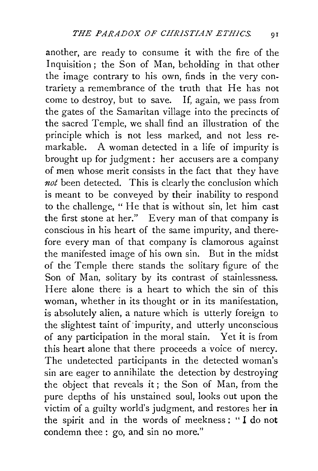another, are ready to consume it with the fire of the Inquisition; the Son of Man, beholding in that other the image contrary to his own, finds in the very contrariety a remembrance of the truth that He has not come to destroy, but to save. If, again, we pass from the gates of the Samaritan village into the precincts of the sacred Temple, we shall find an illustration of the principle which is not less marked, and not less remarkable. A woman detected in a life of impurity is brought up for judgment : her accusers are a company of men whose merit consists in the fact that they have not been detected. This is clearly the conclusion which is meant to be conveyed by their inability to respond to the challenge, " He that is without sin, let him cast the first stone at her." Every man of that company is conscious in his heart of the same impurity, and therefore every man of that company is clamorous against the manifested image of his own sin. But in the midst of the Temple there stands the solitary figure of the Son of Man, solitary by its contrast of stainlessness. Here alone there is a heart to which the sin of this woman, whether in its thought or in its manifestation, is absolutely alien, a nature which is utterly foreign to the slightest taint of impurity, and utterly unconscious of any participation in the moral stain. Yet it is from this heart alone that there proceeds a voice of mercy. The undetected participants in the detected woman's sin are eager to annihilate the detection by destroying the object that reveals it ; the Son of Man, from the pure depths of his unstained soul, looks out upon the victim of a guilty world's judgment, and restores her **in**  the spirit and in the words of meekness : " I do **not**  condemn thee : go, and sin no more."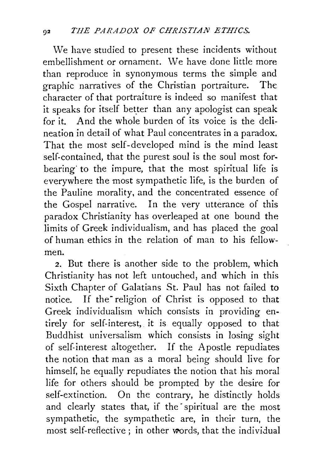We have studied to present these incidents without embellishment or ornament. We have done little more than reproduce in synonymous terms the simple and graphic narratives of the Christian portraiture. The character of that portraiture is indeed so manifest that it speaks for itself better than any apologist can speak for it. And the whole burden of its voice is the delineation in detail of what Paul concentrates in a paradox. That the most self-developed mind is the mind least self-contained, that the purest soul is the soul most forbearing to the impure, that the most spiritual life is everywhere the most sympathetic life, is the burden of the Pauline morality, and the concentrated essence of the Gospel narrative. In the very utterance of this paradox Christianity has overleaped at one bound the limits of Greek individualism, and has placed the goal of human ethics in the relation of man to his fellowmen.

2. But there is another side to the problem, which Christianity has not left untouched, and which in this Sixth Chapter of Galatians St. Paul has not failed to notice. If the religion of Christ is opposed to that Greek individualism which consists in providing entirely for self-interest, it is equally opposed to that Buddhist universalism which consists in losing sight of self-interest altogether. If the Apostle repudiates the notion that man as a moral being should live for himself, he equally repudiates the notion that his moral life for others should be prompted by the desire for self-extinction. On the contrary, he distinctly holds and clearly states that, if the spiritual are the most sympathetic, the sympathetic are, in their turn, the most self-reflective; in other words, that the individual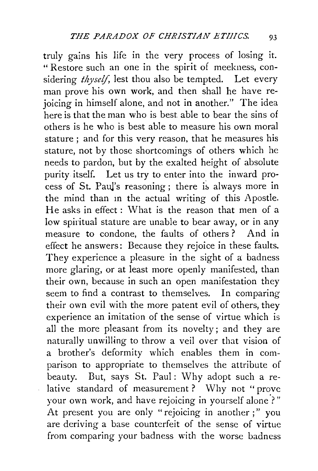truly gains his life in the very process of losing it. " Restore such an one in the spirit of meekness, considering *thyself,* lest thou also be tempted. Let every man prove his own work, and then shall he have rejoicing in himself alone, and not in another." The idea here is that the man who is best able to bear the sins of others is he who is best able to measure his own moral stature ; and for this very reason, that he measures his stature, not by those shortcomings of others which he needs to pardon, but by the exalted height of absolute purity itself. Let us try to enter into the inward process of St. Paul's reasoning; there is always more in the mind than in the actual writing of this Apostle. He asks in effect : What is the reason that men of a low spiritual stature are unable to bear away, or in any measure to condone, the faults of others ? And in effect he answers: Because they rejoice in these faults. They experience a pleasure in the sight of a badness more glaring, or at least more openly manifested, than their own, because in such an open manifestation they seem to find a contrast to themselves. In comparing their own evil with the more patent evil of others, they experience an imitation of the sense of virtue which is all the more pleasant from its novelty; and they are naturally unwilling to throw a veil over that vision of a brother's deformity which enables them in comparison to appropriate to themselves the attribute of beauty. But, says St. Paul: Why adopt such a relative standard of measurement? Why not "prove your own work, and have rejoicing in yourself alone?" At present you are only "rejoicing in another;" you are deriving a base counterfeit of the sense of virtue from comparing your badness with the worse badness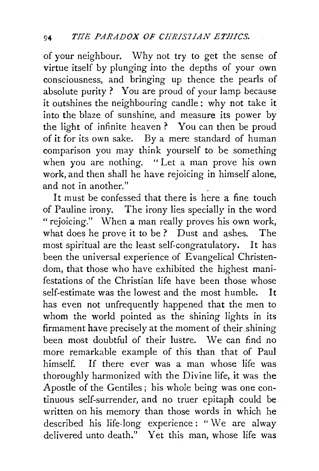of your neighbour. Why not try to get the sense of virtue itself by plunging into the depths of your own consciousness, and bringing up thence the pearls of absolute purity ? You are proud of your lamp because it outshines the neighbouring candle : why not take it into the blaze of sunshine, and measure its power by the light of infinite heaven ? You can then be proud of it for its own sake. By a mere standard of human comparison you may think yourself to be something when you are nothing. "Let a man prove his own work, and then shall he have rejoicing in himself alone, and not in another."

It must be confessed that there is here a fine touch of Pauline irony. The irony lies specially in the word " rejoicing." When a man really proves his own work, what does he prove it to be? Dust and ashes. The most spiritual are the least self-congratulatory. It has been the universal experience of Evangelical Christendom, that those who have exhibited the highest manifestations of the Christian life have been those whose self-estimate was the lowest and the most humble. It has even not unfrequently happened that the men to whom the world pointed as the shining lights in its firmament have precisely at the moment of their shining been most doubtful of their lustre. We can find no more remarkable example of this than that of Paul himself. If there ever was a man whose life was thoroughly harmonized with the Divine life, it was the Apostle of the Gentiles; his whole being was one continuous self-surrender, and no truer epitaph could be written on his memory than those words in which he described his life-long experience: "We are alway delivered unto death." Yet this man, whose life was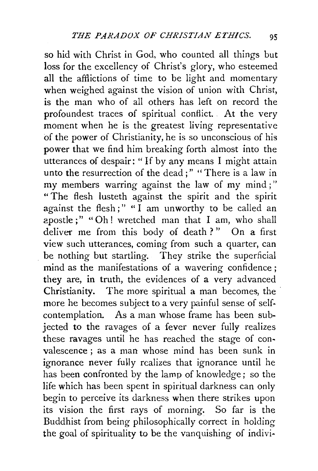so hid with Christ in God, who counted all things but loss for the excellency of Christ's glory, who esteemed all the afflictions of time to be light and momentary when weighed against the vision of union with Christ, is the man who of all others has left on record the profoundest traces of spiritual conflict. At the very moment when he is the greatest living representative of the power of Christianity, he is so unconscious of his power that we find him breaking forth almost into the utterances of despair: " If by any means I might attain unto the resurrection of the dead;" "There is a law in my members warring against the law of my mind;" "The flesh lusteth against the spirit and the spirit against the flesh;" " $\check{\text{I}}$  am unworthy to be called an apostle ;" "Oh! wretched man that I am, who shall deliver me from this body of death?" On a first view such utterances, coming from such a quarter, can be nothing but startling. They strike the superficial mind as the manifestations of a wavering confidence; they are, in truth, the evidences of a very advanced Christianity. The more spiritual a man becomes, the more he becomes subject to a very painful sense of selfcontemplation. As a man whose frame has been subjected to the ravages of a fever never fully realizes these ravages until he has reached the stage of convalescence ; as a man whose mind has been sunk in ignorance never fully realizes that ignorance until he has been confronted by the lamp of knowledge; so the life which has been spent in spiritual darkness can only begin to perceive its darkness when there strikes upon its vision the first rays of morning. So far is the Buddhist from being philosophically correct in holding the goal of spirituality to be the vanquishing of indivi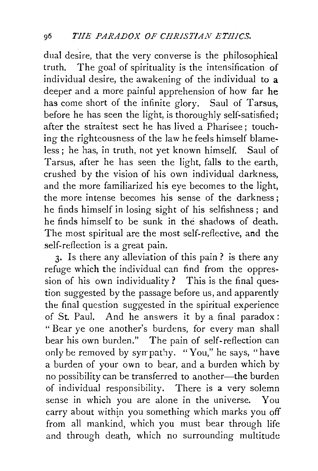dual desire, that the very converse is the philosophical truth. The goal of spirituality is the intensification of individual desire, the awakening of the individual to a deeper and a more painful apprehension of how far he has come short of the infinite glory. Saul of Tarsus, before he has seen the light, is thoroughly self-satisfied; after the straitest sect he has lived a Pharisee; touching the righteousness of the law he feels himself blameless ; he has, in truth, not yet known himself. Saul of Tarsus, after he has seen the light, falls to the earth, crushed by the vision of his own individual darkness, and the more familiarized his eye becomes to the light, the more intense becomes his sense of the darkness; he finds himself in losing sight of his selfishness ; and he finds himself to be sunk in the shadows of death. The most spiritual are the most self-reflective, and the self-reflection is a great pain.

3· Is there any alleviation of this pain? is there any refuge which the individual can find from the oppression of his own individuality? This is the final question suggested by the passage before us, and apparently the final question suggested in the spiritual experience of St. Paul. And he answers it by a final paradox: "Bear ye one another's burdens, for every man shall bear his own burden." The pain of self-reflection can only be removed by sympathy. "You," he says, "have a burden of your own to bear, and a burden which by no possibility can be transferred to another-the burden of individual responsibility. There is a very solemn sense in which you are alone in the universe. You carry about within you something which marks you off from all mankind, which you must bear through life and through death, which no surrounding multitude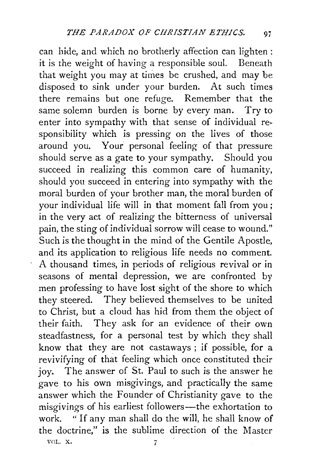can hide, and which no brotherly affection can lighten : it is the weight of having a responsible soul. Beneath that weight you may at times be crushed, and may be disposed to sink under your burden. At such times there remains but one refuge. Remember that the same solemn burden is borne by every man. Try to enter into sympathy with that sense of individual responsibility which is pressing on the lives of those around you. Your personal feeling of that pressure should serve as a gate to your sympathy. Should you succeed in realizing this common care of humanity, should you succeed in entering into sympathy with the moral burden of your brother man, the moral burden of your individual life will in that moment fall from you; in the very act of realizing the bitterness of universal pain, the sting of individual sorrow will cease to wound." Such is the thought in the mind of the Gentile Apostle, and its application to religious life needs no comment. A thousand times, in periods of religious revival or in seasons of mental depression, we are confronted by men professing to have lost sight of the shore to which they steered. They believed themselves to be united to Christ, but a cloud has hid from them the object of their faith. They ask for an evidence of their own steadfastness, for a personal test by which they shall know that they are not castaways ; if possible, for a revivifying of that feeling which once constituted their joy. The answer of St. Paul to such is the answer he gave to his own misgivings, and practically the same answer which the Founder of Christianity gave to the misgivings of his earliest followers—the exhortation to work. " If any man shall do the will, he shall know of the doctrine," is the sublime direction of the Master VOL. X. 2